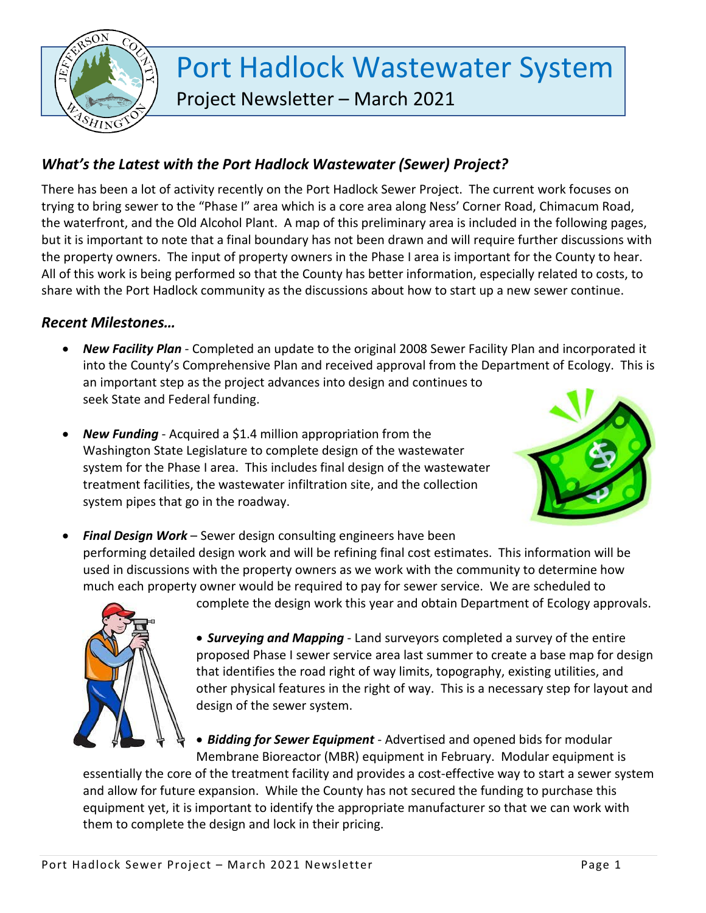

# Port Hadlock Wastewater System Project Newsletter – March 2021

# *What's the Latest with the Port Hadlock Wastewater (Sewer) Project?*

There has been a lot of activity recently on the Port Hadlock Sewer Project. The current work focuses on trying to bring sewer to the "Phase I" area which is a core area along Ness' Corner Road, Chimacum Road, the waterfront, and the Old Alcohol Plant. A map of this preliminary area is included in the following pages, but it is important to note that a final boundary has not been drawn and will require further discussions with the property owners. The input of property owners in the Phase I area is important for the County to hear. All of this work is being performed so that the County has better information, especially related to costs, to share with the Port Hadlock community as the discussions about how to start up a new sewer continue.

## *Recent Milestones…*

- *New Facility Plan* Completed an update to the original 2008 Sewer Facility Plan and incorporated it into the County's Comprehensive Plan and received approval from the Department of Ecology. This is an important step as the project advances into design and continues to seek State and Federal funding.
- *New Funding* Acquired a \$1.4 million appropriation from the Washington State Legislature to complete design of the wastewater system for the Phase I area. This includes final design of the wastewater treatment facilities, the wastewater infiltration site, and the collection system pipes that go in the roadway.



• *Final Design Work* – Sewer design consulting engineers have been performing detailed design work and will be refining final cost estimates. This information will be used in discussions with the property owners as we work with the community to determine how much each property owner would be required to pay for sewer service. We are scheduled to



complete the design work this year and obtain Department of Ecology approvals.

• *Surveying and Mapping* - Land surveyors completed a survey of the entire proposed Phase I sewer service area last summer to create a base map for design that identifies the road right of way limits, topography, existing utilities, and other physical features in the right of way. This is a necessary step for layout and design of the sewer system.

• *Bidding for Sewer Equipment* - Advertised and opened bids for modular Membrane Bioreactor (MBR) equipment in February. Modular equipment is

essentially the core of the treatment facility and provides a cost-effective way to start a sewer system and allow for future expansion. While the County has not secured the funding to purchase this equipment yet, it is important to identify the appropriate manufacturer so that we can work with them to complete the design and lock in their pricing.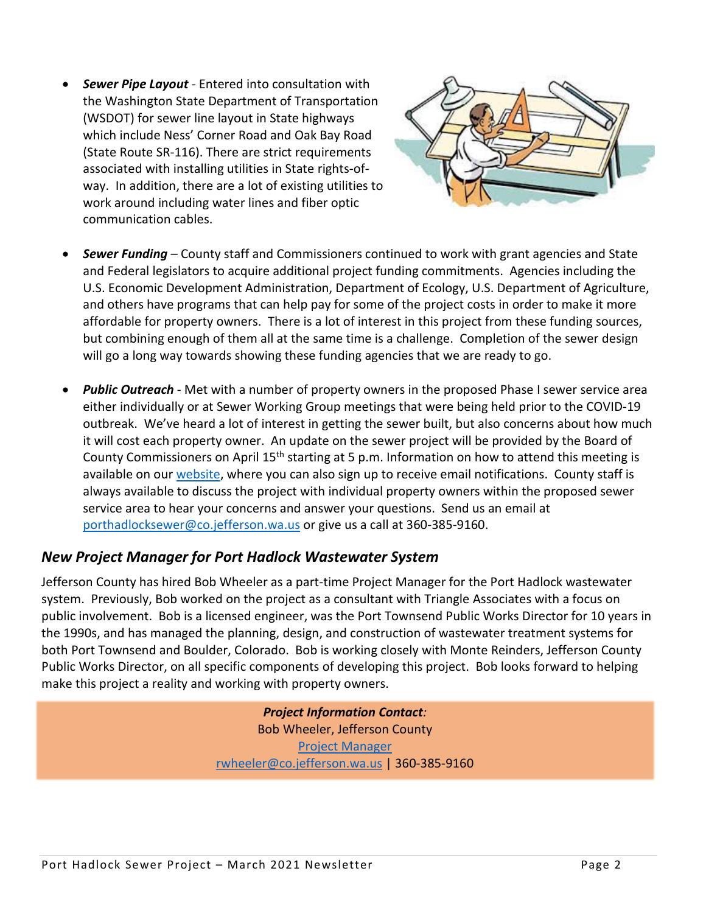• *Sewer Pipe Layout* - Entered into consultation with the Washington State Department of Transportation (WSDOT) for sewer line layout in State highways which include Ness' Corner Road and Oak Bay Road (State Route SR-116). There are strict requirements associated with installing utilities in State rights-ofway. In addition, there are a lot of existing utilities to work around including water lines and fiber optic communication cables.



- *Sewer Funding* County staff and Commissioners continued to work with grant agencies and State and Federal legislators to acquire additional project funding commitments. Agencies including the U.S. Economic Development Administration, Department of Ecology, U.S. Department of Agriculture, and others have programs that can help pay for some of the project costs in order to make it more affordable for property owners. There is a lot of interest in this project from these funding sources, but combining enough of them all at the same time is a challenge. Completion of the sewer design will go a long way towards showing these funding agencies that we are ready to go.
- *Public Outreach* Met with a number of property owners in the proposed Phase I sewer service area either individually or at Sewer Working Group meetings that were being held prior to the COVID-19 outbreak. We've heard a lot of interest in getting the sewer built, but also concerns about how much it will cost each property owner. An update on the sewer project will be provided by the Board of County Commissioners on April 15th starting at 5 p.m. Information on how to attend this meeting is available on our [website,](https://www.co.jefferson.wa.us/1158/Port-Hadlock-Wastewater-System) where you can also sign up to receive email notifications. County staff is always available to discuss the project with individual property owners within the proposed sewer service area to hear your concerns and answer your questions. Send us an email at [porthadlocksewer@co.jefferson.wa.us](mailto:porthadlocksewer@co.jefferson.wa.us) or give us a call at 360-385-9160.

## *New Project Manager for Port Hadlock Wastewater System*

Jefferson County has hired Bob Wheeler as a part-time Project Manager for the Port Hadlock wastewater system. Previously, Bob worked on the project as a consultant with Triangle Associates with a focus on public involvement. Bob is a licensed engineer, was the Port Townsend Public Works Director for 10 years in the 1990s, and has managed the planning, design, and construction of wastewater treatment systems for both Port Townsend and Boulder, Colorado. Bob is working closely with Monte Reinders, Jefferson County Public Works Director, on all specific components of developing this project. Bob looks forward to helping make this project a reality and working with property owners.

> *Project Information Contact:* Bob Wheeler, Jefferson County Project Manager [rwheeler@co.jefferson.wa.us](mailto:rwheeler@co.jefferson.wa.us) | 360-385-9160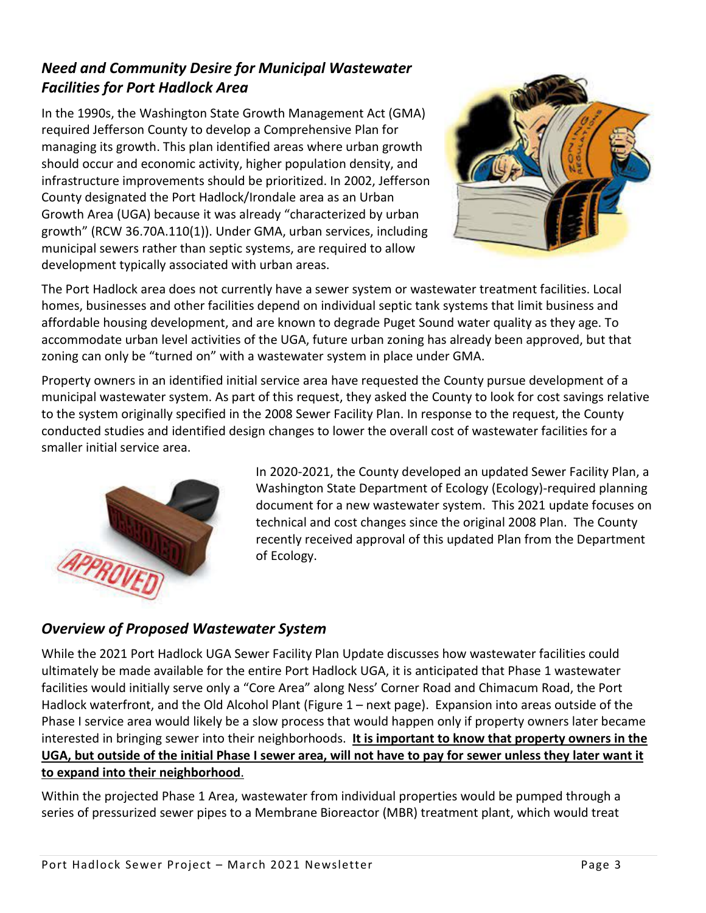# *Need and Community Desire for Municipal Wastewater Facilities for Port Hadlock Area*

In the 1990s, the Washington State Growth Management Act (GMA) required Jefferson County to develop a Comprehensive Plan for managing its growth. This plan identified areas where urban growth should occur and economic activity, higher population density, and infrastructure improvements should be prioritized. In 2002, Jefferson County designated the Port Hadlock/Irondale area as an Urban Growth Area (UGA) because it was already "characterized by urban growth" (RCW 36.70A.110(1)). Under GMA, urban services, including municipal sewers rather than septic systems, are required to allow development typically associated with urban areas.



The Port Hadlock area does not currently have a sewer system or wastewater treatment facilities. Local homes, businesses and other facilities depend on individual septic tank systems that limit business and affordable housing development, and are known to degrade Puget Sound water quality as they age. To accommodate urban level activities of the UGA, future urban zoning has already been approved, but that zoning can only be "turned on" with a wastewater system in place under GMA.

Property owners in an identified initial service area have requested the County pursue development of a municipal wastewater system. As part of this request, they asked the County to look for cost savings relative to the system originally specified in the 2008 Sewer Facility Plan. In response to the request, the County conducted studies and identified design changes to lower the overall cost of wastewater facilities for a smaller initial service area.



In 2020-2021, the County developed an updated Sewer Facility Plan, a Washington State Department of Ecology (Ecology)-required planning document for a new wastewater system. This 2021 update focuses on technical and cost changes since the original 2008 Plan. The County recently received approval of this updated Plan from the Department of Ecology.

## *Overview of Proposed Wastewater System*

While the 2021 Port Hadlock UGA Sewer Facility Plan Update discusses how wastewater facilities could ultimately be made available for the entire Port Hadlock UGA, it is anticipated that Phase 1 wastewater facilities would initially serve only a "Core Area" along Ness' Corner Road and Chimacum Road, the Port Hadlock waterfront, and the Old Alcohol Plant (Figure 1 – next page). Expansion into areas outside of the Phase I service area would likely be a slow process that would happen only if property owners later became interested in bringing sewer into their neighborhoods. **It is important to know that property owners in the UGA, but outside of the initial Phase I sewer area, will not have to pay for sewer unless they later want it to expand into their neighborhood**.

Within the projected Phase 1 Area, wastewater from individual properties would be pumped through a series of pressurized sewer pipes to a Membrane Bioreactor (MBR) treatment plant, which would treat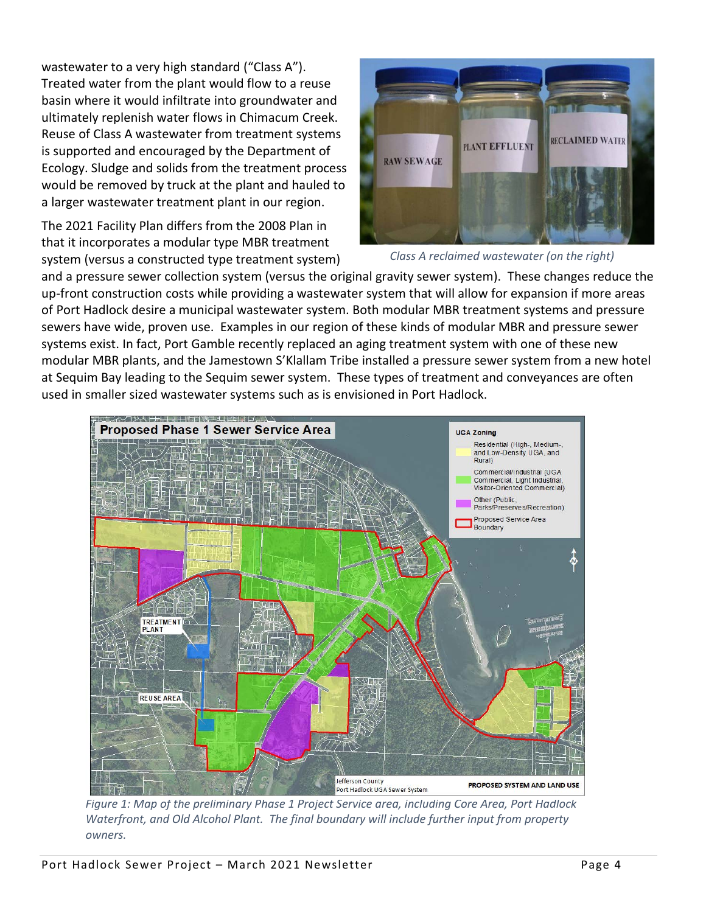wastewater to a very high standard ("Class A"). Treated water from the plant would flow to a reuse basin where it would infiltrate into groundwater and ultimately replenish water flows in Chimacum Creek. Reuse of Class A wastewater from treatment systems is supported and encouraged by the Department of Ecology. Sludge and solids from the treatment process would be removed by truck at the plant and hauled to a larger wastewater treatment plant in our region.

The 2021 Facility Plan differs from the 2008 Plan in that it incorporates a modular type MBR treatment system (versus a constructed type treatment system)





and a pressure sewer collection system (versus the original gravity sewer system). These changes reduce the up-front construction costs while providing a wastewater system that will allow for expansion if more areas of Port Hadlock desire a municipal wastewater system. Both modular MBR treatment systems and pressure sewers have wide, proven use. Examples in our region of these kinds of modular MBR and pressure sewer systems exist. In fact, Port Gamble recently replaced an aging treatment system with one of these new modular MBR plants, and the Jamestown S'Klallam Tribe installed a pressure sewer system from a new hotel at Sequim Bay leading to the Sequim sewer system. These types of treatment and conveyances are often used in smaller sized wastewater systems such as is envisioned in Port Hadlock.



*Figure 1: Map of the preliminary Phase 1 Project Service area, including Core Area, Port Hadlock Waterfront, and Old Alcohol Plant. The final boundary will include further input from property owners.*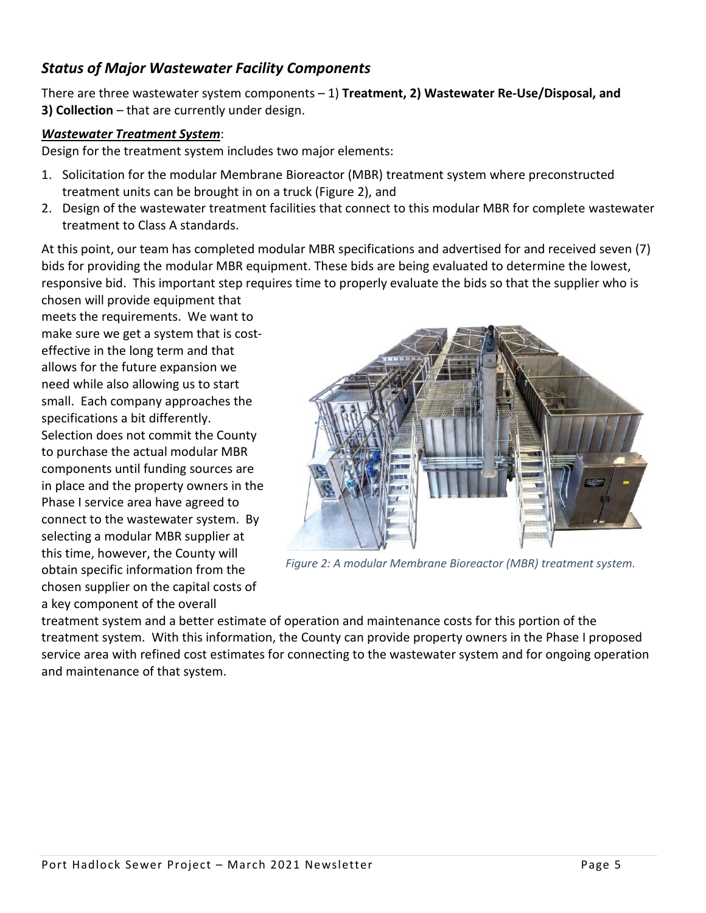### *Status of Major Wastewater Facility Components*

There are three wastewater system components – 1) **Treatment, 2) Wastewater Re-Use/Disposal, and 3) Collection** – that are currently under design.

#### *Wastewater Treatment System*:

Design for the treatment system includes two major elements:

- 1. Solicitation for the modular Membrane Bioreactor (MBR) treatment system where preconstructed treatment units can be brought in on a truck (Figure 2), and
- 2. Design of the wastewater treatment facilities that connect to this modular MBR for complete wastewater treatment to Class A standards.

At this point, our team has completed modular MBR specifications and advertised for and received seven (7) bids for providing the modular MBR equipment. These bids are being evaluated to determine the lowest, responsive bid. This important step requires time to properly evaluate the bids so that the supplier who is

chosen will provide equipment that meets the requirements. We want to make sure we get a system that is costeffective in the long term and that allows for the future expansion we need while also allowing us to start small. Each company approaches the specifications a bit differently. Selection does not commit the County to purchase the actual modular MBR components until funding sources are in place and the property owners in the Phase I service area have agreed to connect to the wastewater system. By selecting a modular MBR supplier at this time, however, the County will obtain specific information from the chosen supplier on the capital costs of a key component of the overall



*Figure 2: A modular Membrane Bioreactor (MBR) treatment system.*

treatment system and a better estimate of operation and maintenance costs for this portion of the treatment system. With this information, the County can provide property owners in the Phase I proposed service area with refined cost estimates for connecting to the wastewater system and for ongoing operation and maintenance of that system.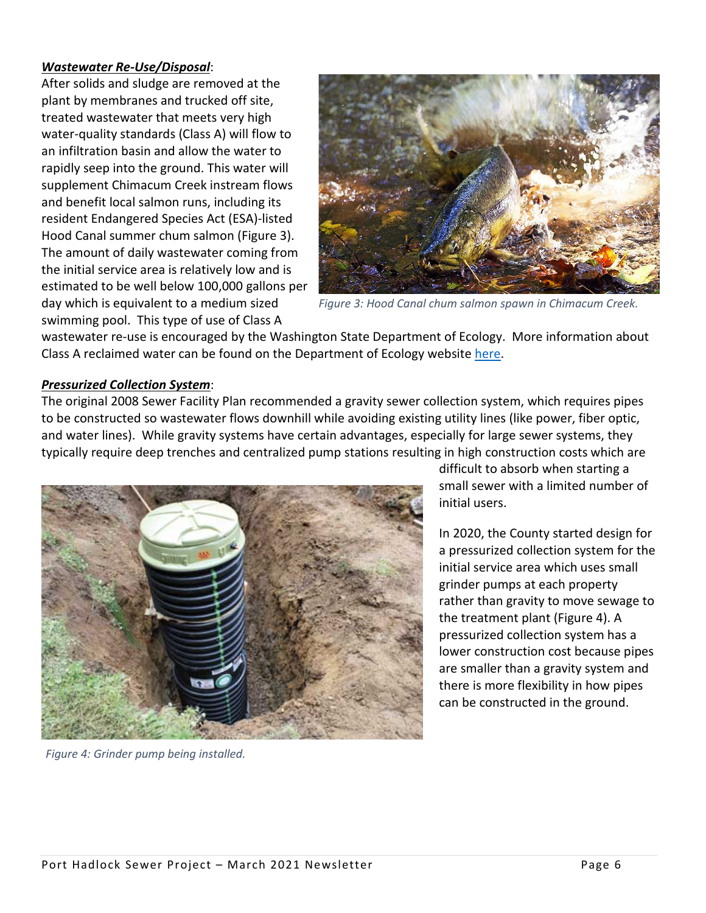#### *Wastewater Re-Use/Disposal*:

After solids and sludge are removed at the plant by membranes and trucked off site, treated wastewater that meets very high water-quality standards (Class A) will flow to an infiltration basin and allow the water to rapidly seep into the ground. This water will supplement Chimacum Creek instream flows and benefit local salmon runs, including its resident Endangered Species Act (ESA)-listed Hood Canal summer chum salmon (Figure 3). The amount of daily wastewater coming from the initial service area is relatively low and is estimated to be well below 100,000 gallons per day which is equivalent to a medium sized swimming pool. This type of use of Class A



*Figure 3: Hood Canal chum salmon spawn in Chimacum Creek.*

wastewater re-use is encouraged by the Washington State Department of Ecology. More information about Class A reclaimed water can be found on the Department of Ecology website [here.](https://ecology.wa.gov/Water-Shorelines/Water-quality/Reclaimed-water)

#### *Pressurized Collection System*:

The original 2008 Sewer Facility Plan recommended a gravity sewer collection system, which requires pipes to be constructed so wastewater flows downhill while avoiding existing utility lines (like power, fiber optic, and water lines). While gravity systems have certain advantages, especially for large sewer systems, they typically require deep trenches and centralized pump stations resulting in high construction costs which are



*Figure 4: Grinder pump being installed.*

difficult to absorb when starting a small sewer with a limited number of initial users.

In 2020, the County started design for a pressurized collection system for the initial service area which uses small grinder pumps at each property rather than gravity to move sewage to the treatment plant (Figure 4). A pressurized collection system has a lower construction cost because pipes are smaller than a gravity system and there is more flexibility in how pipes can be constructed in the ground.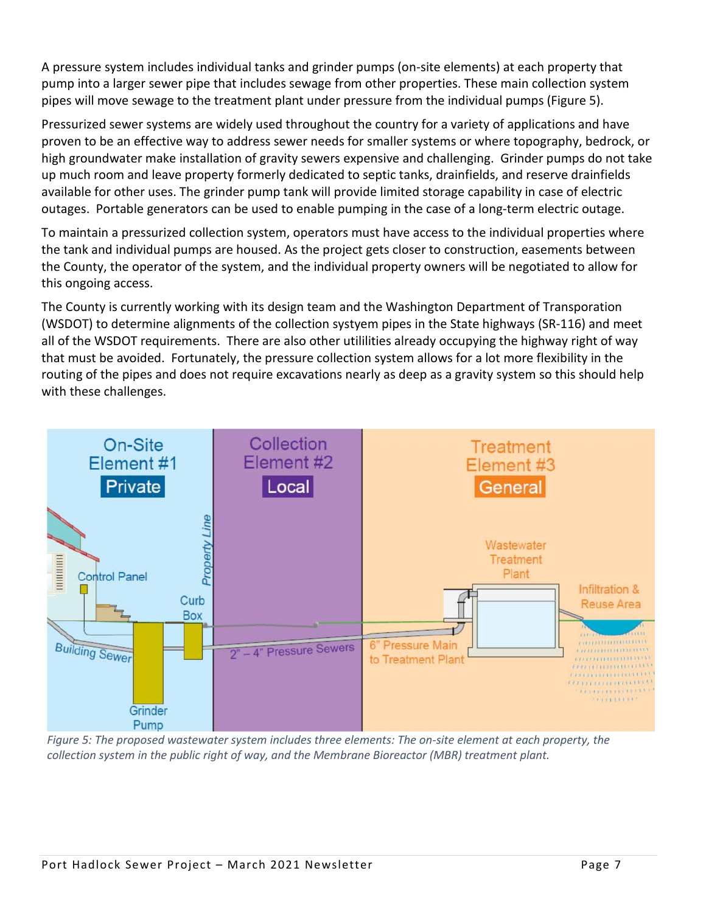A pressure system includes individual tanks and grinder pumps (on-site elements) at each property that pump into a larger sewer pipe that includes sewage from other properties. These main collection system pipes will move sewage to the treatment plant under pressure from the individual pumps (Figure 5).

Pressurized sewer systems are widely used throughout the country for a variety of applications and have proven to be an effective way to address sewer needs for smaller systems or where topography, bedrock, or high groundwater make installation of gravity sewers expensive and challenging. Grinder pumps do not take up much room and leave property formerly dedicated to septic tanks, drainfields, and reserve drainfields available for other uses. The grinder pump tank will provide limited storage capability in case of electric outages. Portable generators can be used to enable pumping in the case of a long-term electric outage.

To maintain a pressurized collection system, operators must have access to the individual properties where the tank and individual pumps are housed. As the project gets closer to construction, easements between the County, the operator of the system, and the individual property owners will be negotiated to allow for this ongoing access.

The County is currently working with its design team and the Washington Department of Transporation (WSDOT) to determine alignments of the collection systyem pipes in the State highways (SR-116) and meet all of the WSDOT requirements. There are also other utililities already occupying the highway right of way that must be avoided. Fortunately, the pressure collection system allows for a lot more flexibility in the routing of the pipes and does not require excavations nearly as deep as a gravity system so this should help with these challenges.



*Figure 5: The proposed wastewater system includes three elements: The on-site element at each property, the collection system in the public right of way, and the Membrane Bioreactor (MBR) treatment plant.*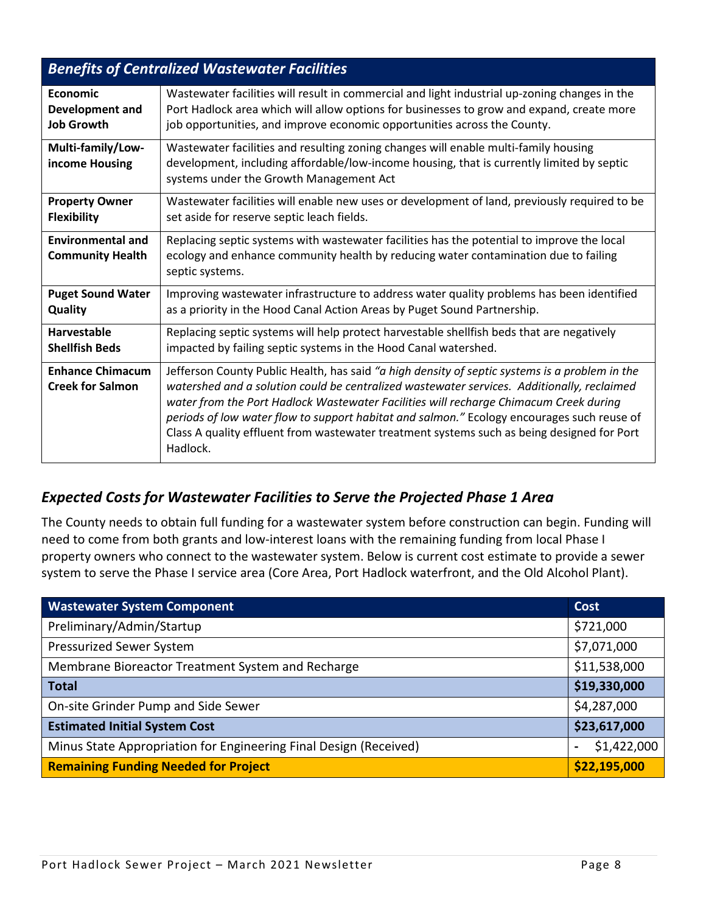| <b>Benefits of Centralized Wastewater Facilities</b> |                                                                                                                                                                                                                                                                                                                                                                                                                                                                                               |  |
|------------------------------------------------------|-----------------------------------------------------------------------------------------------------------------------------------------------------------------------------------------------------------------------------------------------------------------------------------------------------------------------------------------------------------------------------------------------------------------------------------------------------------------------------------------------|--|
| Economic                                             | Wastewater facilities will result in commercial and light industrial up-zoning changes in the                                                                                                                                                                                                                                                                                                                                                                                                 |  |
| <b>Development and</b>                               | Port Hadlock area which will allow options for businesses to grow and expand, create more                                                                                                                                                                                                                                                                                                                                                                                                     |  |
| <b>Job Growth</b>                                    | job opportunities, and improve economic opportunities across the County.                                                                                                                                                                                                                                                                                                                                                                                                                      |  |
| Multi-family/Low-<br>income Housing                  | Wastewater facilities and resulting zoning changes will enable multi-family housing<br>development, including affordable/low-income housing, that is currently limited by septic<br>systems under the Growth Management Act                                                                                                                                                                                                                                                                   |  |
| <b>Property Owner</b>                                | Wastewater facilities will enable new uses or development of land, previously required to be                                                                                                                                                                                                                                                                                                                                                                                                  |  |
| <b>Flexibility</b>                                   | set aside for reserve septic leach fields.                                                                                                                                                                                                                                                                                                                                                                                                                                                    |  |
| <b>Environmental and</b><br><b>Community Health</b>  | Replacing septic systems with wastewater facilities has the potential to improve the local<br>ecology and enhance community health by reducing water contamination due to failing<br>septic systems.                                                                                                                                                                                                                                                                                          |  |
| <b>Puget Sound Water</b>                             | Improving wastewater infrastructure to address water quality problems has been identified                                                                                                                                                                                                                                                                                                                                                                                                     |  |
| Quality                                              | as a priority in the Hood Canal Action Areas by Puget Sound Partnership.                                                                                                                                                                                                                                                                                                                                                                                                                      |  |
| Harvestable                                          | Replacing septic systems will help protect harvestable shellfish beds that are negatively                                                                                                                                                                                                                                                                                                                                                                                                     |  |
| <b>Shellfish Beds</b>                                | impacted by failing septic systems in the Hood Canal watershed.                                                                                                                                                                                                                                                                                                                                                                                                                               |  |
| <b>Enhance Chimacum</b><br><b>Creek for Salmon</b>   | Jefferson County Public Health, has said "a high density of septic systems is a problem in the<br>watershed and a solution could be centralized wastewater services. Additionally, reclaimed<br>water from the Port Hadlock Wastewater Facilities will recharge Chimacum Creek during<br>periods of low water flow to support habitat and salmon." Ecology encourages such reuse of<br>Class A quality effluent from wastewater treatment systems such as being designed for Port<br>Hadlock. |  |

## *Expected Costs for Wastewater Facilities to Serve the Projected Phase 1 Area*

The County needs to obtain full funding for a wastewater system before construction can begin. Funding will need to come from both grants and low-interest loans with the remaining funding from local Phase I property owners who connect to the wastewater system. Below is current cost estimate to provide a sewer system to serve the Phase I service area (Core Area, Port Hadlock waterfront, and the Old Alcohol Plant).

| <b>Wastewater System Component</b>                                | Cost         |
|-------------------------------------------------------------------|--------------|
| Preliminary/Admin/Startup                                         | \$721,000    |
| <b>Pressurized Sewer System</b>                                   | \$7,071,000  |
| Membrane Bioreactor Treatment System and Recharge                 | \$11,538,000 |
| <b>Total</b>                                                      | \$19,330,000 |
| On-site Grinder Pump and Side Sewer                               | \$4,287,000  |
| <b>Estimated Initial System Cost</b>                              | \$23,617,000 |
| Minus State Appropriation for Engineering Final Design (Received) | \$1,422,000  |
| <b>Remaining Funding Needed for Project</b>                       | \$22,195,000 |